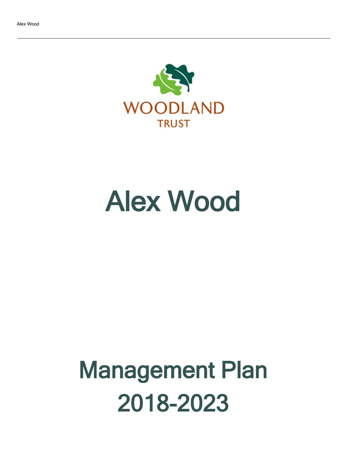

# Alex Wood

# Management Plan 2018-2023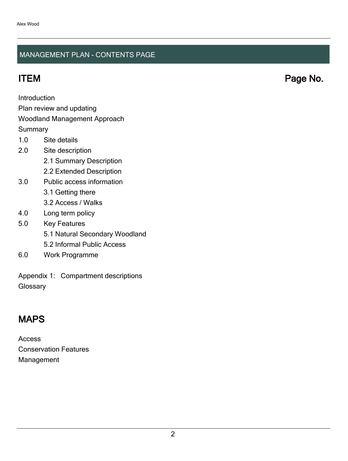#### MANAGEMENT PLAN - CONTENTS PAGE

ITEM Page No.

Introduction

Plan review and updating

#### Woodland Management Approach

**Summary** 

- 1.0 Site details
- 2.0 Site description
	- 2.1 Summary Description
	- 2.2 Extended Description
- 3.0 Public access information
	- 3.1 Getting there
	- 3.2 Access / Walks
- 4.0 Long term policy
- 5.0 Key Features
	- 5.1 Natural Secondary Woodland
	- 5.2 Informal Public Access
- 6.0 Work Programme

Appendix 1: Compartment descriptions **Glossary** 

# MAPS

Access Conservation Features Management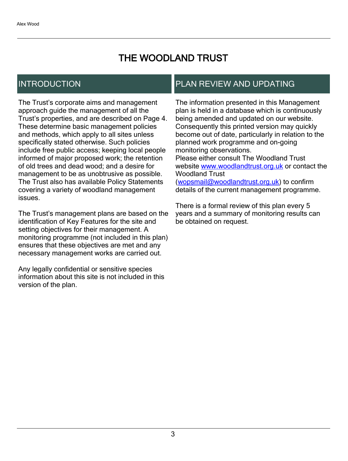# THE WOODLAND TRUST

# INTRODUCTION

The Trust's corporate aims and management approach guide the management of all the Trust's properties, and are described on Page 4. These determine basic management policies and methods, which apply to all sites unless specifically stated otherwise. Such policies include free public access; keeping local people informed of major proposed work; the retention of old trees and dead wood; and a desire for management to be as unobtrusive as possible. The Trust also has available Policy Statements covering a variety of woodland management issues.

The Trust's management plans are based on the identification of Key Features for the site and setting objectives for their management. A monitoring programme (not included in this plan) ensures that these objectives are met and any necessary management works are carried out.

Any legally confidential or sensitive species information about this site is not included in this version of the plan.

# PLAN REVIEW AND UPDATING

The information presented in this Management plan is held in a database which is continuously being amended and updated on our website. Consequently this printed version may quickly become out of date, particularly in relation to the planned work programme and on-going monitoring observations. Please either consult The Woodland Trust website [www.woodlandtrust.org.uk](http://www.woodlandtrust.org.uk/) or contact the Woodland Trust [\(wopsmail@woodlandtrust.org.uk](mailto:wopsmail@woodlandtrust.org.uk)) to confirm

details of the current management programme.

There is a formal review of this plan every 5 years and a summary of monitoring results can be obtained on request.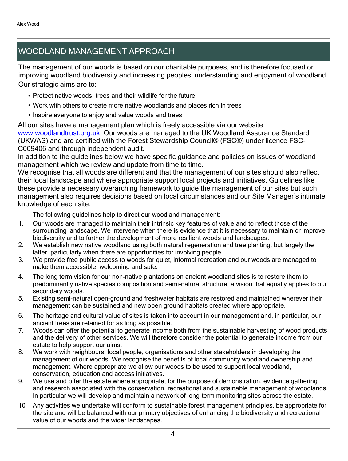# WOODLAND MANAGEMENT APPROACH

The management of our woods is based on our charitable purposes, and is therefore focused on improving woodland biodiversity and increasing peoples' understanding and enjoyment of woodland. Our strategic aims are to:

- Protect native woods, trees and their wildlife for the future
- Work with others to create more native woodlands and places rich in trees
- Inspire everyone to enjoy and value woods and trees

All our sites have a management plan which is freely accessible via our website [www.woodlandtrust.org.uk.](http://www.woodlandtrust.org.uk/) Our woods are managed to the UK Woodland Assurance Standard (UKWAS) and are certified with the Forest Stewardship Council® (FSC®) under licence FSC-C009406 and through independent audit.

In addition to the guidelines below we have specific guidance and policies on issues of woodland management which we review and update from time to time.

We recognise that all woods are different and that the management of our sites should also reflect their local landscape and where appropriate support local projects and initiatives. Guidelines like these provide a necessary overarching framework to guide the management of our sites but such management also requires decisions based on local circumstances and our Site Manager's intimate knowledge of each site.

The following guidelines help to direct our woodland management:

- 1. Our woods are managed to maintain their intrinsic key features of value and to reflect those of the surrounding landscape. We intervene when there is evidence that it is necessary to maintain or improve biodiversity and to further the development of more resilient woods and landscapes.
- 2. We establish new native woodland using both natural regeneration and tree planting, but largely the latter, particularly when there are opportunities for involving people.
- 3. We provide free public access to woods for quiet, informal recreation and our woods are managed to make them accessible, welcoming and safe.
- 4. The long term vision for our non-native plantations on ancient woodland sites is to restore them to predominantly native species composition and semi-natural structure, a vision that equally applies to our secondary woods.
- 5. Existing semi-natural open-ground and freshwater habitats are restored and maintained wherever their management can be sustained and new open ground habitats created where appropriate.
- 6. The heritage and cultural value of sites is taken into account in our management and, in particular, our ancient trees are retained for as long as possible.
- 7. Woods can offer the potential to generate income both from the sustainable harvesting of wood products and the delivery of other services. We will therefore consider the potential to generate income from our estate to help support our aims.
- 8. We work with neighbours, local people, organisations and other stakeholders in developing the management of our woods. We recognise the benefits of local community woodland ownership and management. Where appropriate we allow our woods to be used to support local woodland, conservation, education and access initiatives.
- 9. We use and offer the estate where appropriate, for the purpose of demonstration, evidence gathering and research associated with the conservation, recreational and sustainable management of woodlands. In particular we will develop and maintain a network of long-term monitoring sites across the estate.
- 10 Any activities we undertake will conform to sustainable forest management principles, be appropriate for the site and will be balanced with our primary objectives of enhancing the biodiversity and recreational value of our woods and the wider landscapes.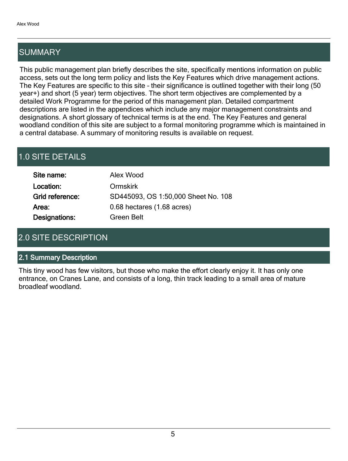# SUMMARY

This public management plan briefly describes the site, specifically mentions information on public access, sets out the long term policy and lists the Key Features which drive management actions. The Key Features are specific to this site - their significance is outlined together with their long (50 year+) and short (5 year) term objectives. The short term objectives are complemented by a detailed Work Programme for the period of this management plan. Detailed compartment descriptions are listed in the appendices which include any major management constraints and designations. A short glossary of technical terms is at the end. The Key Features and general woodland condition of this site are subject to a formal monitoring programme which is maintained in a central database. A summary of monitoring results is available on request.

# 1.0 SITE DETAILS

| Site name:           | Alex Wood                           |
|----------------------|-------------------------------------|
| Location:            | <b>Ormskirk</b>                     |
| Grid reference:      | SD445093, OS 1:50,000 Sheet No. 108 |
| Area:                | 0.68 hectares (1.68 acres)          |
| <b>Designations:</b> | Green Belt                          |

# 2.0 SITE DESCRIPTION

#### 2.1 Summary Description

This tiny wood has few visitors, but those who make the effort clearly enjoy it. It has only one entrance, on Cranes Lane, and consists of a long, thin track leading to a small area of mature broadleaf woodland.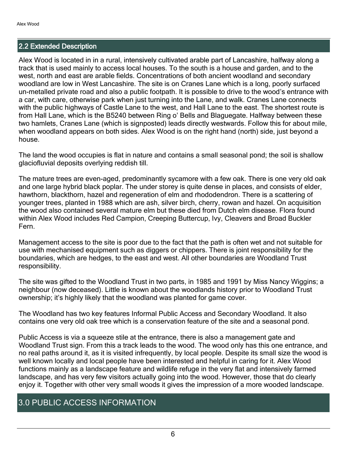#### 2.2 Extended Description

Alex Wood is located in in a rural, intensively cultivated arable part of Lancashire, halfway along a track that is used mainly to access local houses. To the south is a house and garden, and to the west, north and east are arable fields. Concentrations of both ancient woodland and secondary woodland are low in West Lancashire. The site is on Cranes Lane which is a long, poorly surfaced un-metalled private road and also a public footpath. It is possible to drive to the wood's entrance with a car, with care, otherwise park when just turning into the Lane, and walk. Cranes Lane connects with the public highways of Castle Lane to the west, and Hall Lane to the east. The shortest route is from Hall Lane, which is the B5240 between Ring o' Bells and Blaguegate. Halfway between these two hamlets, Cranes Lane (which is signposted) leads directly westwards. Follow this for about mile, when woodland appears on both sides. Alex Wood is on the right hand (north) side, just beyond a house.

The land the wood occupies is flat in nature and contains a small seasonal pond; the soil is shallow glaciofluvial deposits overlying reddish till.

The mature trees are even-aged, predominantly sycamore with a few oak. There is one very old oak and one large hybrid black poplar. The under storey is quite dense in places, and consists of elder, hawthorn, blackthorn, hazel and regeneration of elm and rhododendron. There is a scattering of younger trees, planted in 1988 which are ash, silver birch, cherry, rowan and hazel. On acquisition the wood also contained several mature elm but these died from Dutch elm disease. Flora found within Alex Wood includes Red Campion, Creeping Buttercup, Ivy, Cleavers and Broad Buckler Fern.

Management access to the site is poor due to the fact that the path is often wet and not suitable for use with mechanised equipment such as diggers or chippers. There is joint responsibility for the boundaries, which are hedges, to the east and west. All other boundaries are Woodland Trust responsibility.

The site was gifted to the Woodland Trust in two parts, in 1985 and 1991 by Miss Nancy Wiggins; a neighbour (now deceased). Little is known about the woodlands history prior to Woodland Trust ownership; it's highly likely that the woodland was planted for game cover.

The Woodland has two key features Informal Public Access and Secondary Woodland. It also contains one very old oak tree which is a conservation feature of the site and a seasonal pond.

Public Access is via a squeeze stile at the entrance, there is also a management gate and Woodland Trust sign. From this a track leads to the wood. The wood only has this one entrance, and no real paths around it, as it is visited infrequently, by local people. Despite its small size the wood is well known locally and local people have been interested and helpful in caring for it. Alex Wood functions mainly as a landscape feature and wildlife refuge in the very flat and intensively farmed landscape, and has very few visitors actually going into the wood. However, those that do clearly enjoy it. Together with other very small woods it gives the impression of a more wooded landscape.

### 3.0 PUBLIC ACCESS INFORMATION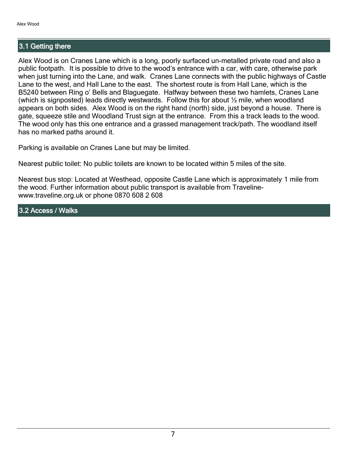#### 3.1 Getting there

Alex Wood is on Cranes Lane which is a long, poorly surfaced un-metalled private road and also a public footpath. It is possible to drive to the wood's entrance with a car, with care, otherwise park when just turning into the Lane, and walk. Cranes Lane connects with the public highways of Castle Lane to the west, and Hall Lane to the east. The shortest route is from Hall Lane, which is the B5240 between Ring o' Bells and Blaguegate. Halfway between these two hamlets, Cranes Lane (which is signposted) leads directly westwards. Follow this for about  $\frac{1}{2}$  mile, when woodland appears on both sides. Alex Wood is on the right hand (north) side, just beyond a house. There is gate, squeeze stile and Woodland Trust sign at the entrance. From this a track leads to the wood. The wood only has this one entrance and a grassed management track/path. The woodland itself has no marked paths around it.

Parking is available on Cranes Lane but may be limited.

Nearest public toilet: No public toilets are known to be located within 5 miles of the site.

Nearest bus stop: Located at Westhead, opposite Castle Lane which is approximately 1 mile from the wood. Further information about public transport is available from Travelinewww.traveline.org.uk or phone 0870 608 2 608

3.2 Access / Walks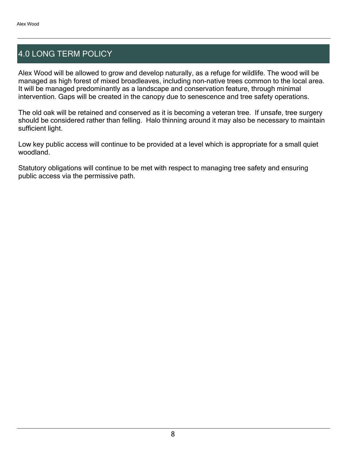# 4.0 LONG TERM POLICY

Alex Wood will be allowed to grow and develop naturally, as a refuge for wildlife. The wood will be managed as high forest of mixed broadleaves, including non-native trees common to the local area. It will be managed predominantly as a landscape and conservation feature, through minimal intervention. Gaps will be created in the canopy due to senescence and tree safety operations.

The old oak will be retained and conserved as it is becoming a veteran tree. If unsafe, tree surgery should be considered rather than felling. Halo thinning around it may also be necessary to maintain sufficient light.

Low key public access will continue to be provided at a level which is appropriate for a small quiet woodland.

Statutory obligations will continue to be met with respect to managing tree safety and ensuring public access via the permissive path.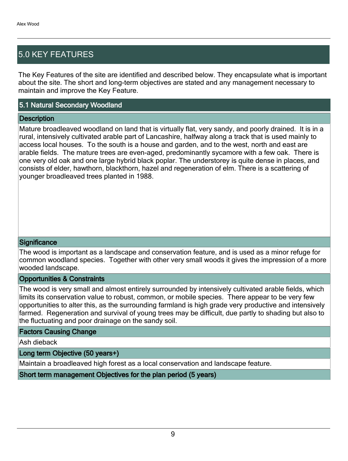# 5.0 KEY FEATURES

The Key Features of the site are identified and described below. They encapsulate what is important about the site. The short and long-term objectives are stated and any management necessary to maintain and improve the Key Feature.

#### 5.1 Natural Secondary Woodland

#### **Description**

Mature broadleaved woodland on land that is virtually flat, very sandy, and poorly drained. It is in a rural, intensively cultivated arable part of Lancashire, halfway along a track that is used mainly to access local houses. To the south is a house and garden, and to the west, north and east are arable fields. The mature trees are even-aged, predominantly sycamore with a few oak. There is one very old oak and one large hybrid black poplar. The understorey is quite dense in places, and consists of elder, hawthorn, blackthorn, hazel and regeneration of elm. There is a scattering of younger broadleaved trees planted in 1988.

#### **Significance**

The wood is important as a landscape and conservation feature, and is used as a minor refuge for common woodland species. Together with other very small woods it gives the impression of a more wooded landscape.

#### Opportunities & Constraints

The wood is very small and almost entirely surrounded by intensively cultivated arable fields, which limits its conservation value to robust, common, or mobile species. There appear to be very few opportunities to alter this, as the surrounding farmland is high grade very productive and intensively farmed. Regeneration and survival of young trees may be difficult, due partly to shading but also to the fluctuating and poor drainage on the sandy soil.

#### Factors Causing Change

Ash dieback

#### Long term Objective (50 years+)

Maintain a broadleaved high forest as a local conservation and landscape feature.

Short term management Objectives for the plan period (5 years)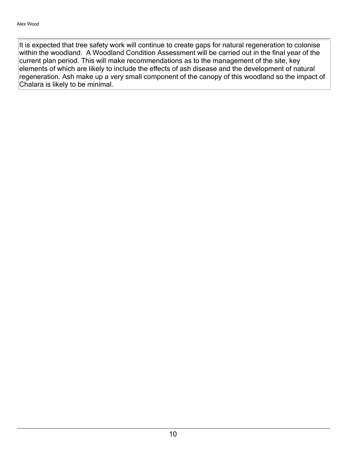It is expected that tree safety work will continue to create gaps for natural regeneration to colonise within the woodland. A Woodland Condition Assessment will be carried out in the final year of the current plan period. This will make recommendations as to the management of the site, key elements of which are likely to include the effects of ash disease and the development of natural regeneration. Ash make up a very small component of the canopy of this woodland so the impact of Chalara is likely to be minimal.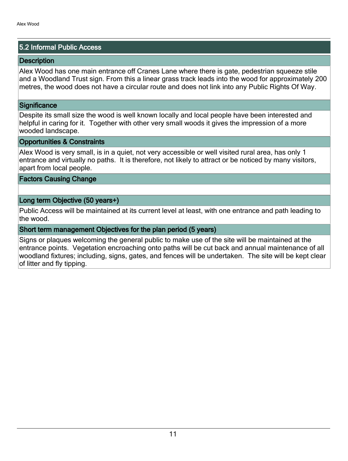#### 5.2 Informal Public Access

#### **Description**

Alex Wood has one main entrance off Cranes Lane where there is gate, pedestrian squeeze stile and a Woodland Trust sign. From this a linear grass track leads into the wood for approximately 200 metres, the wood does not have a circular route and does not link into any Public Rights Of Way.

#### **Significance**

Despite its small size the wood is well known locally and local people have been interested and helpful in caring for it. Together with other very small woods it gives the impression of a more wooded landscape.

#### Opportunities & Constraints

Alex Wood is very small, is in a quiet, not very accessible or well visited rural area, has only 1 entrance and virtually no paths. It is therefore, not likely to attract or be noticed by many visitors, apart from local people.

#### Factors Causing Change

#### Long term Objective (50 years+)

Public Access will be maintained at its current level at least, with one entrance and path leading to the wood.

#### Short term management Objectives for the plan period (5 years)

Signs or plaques welcoming the general public to make use of the site will be maintained at the entrance points. Vegetation encroaching onto paths will be cut back and annual maintenance of all woodland fixtures; including, signs, gates, and fences will be undertaken. The site will be kept clear of litter and fly tipping.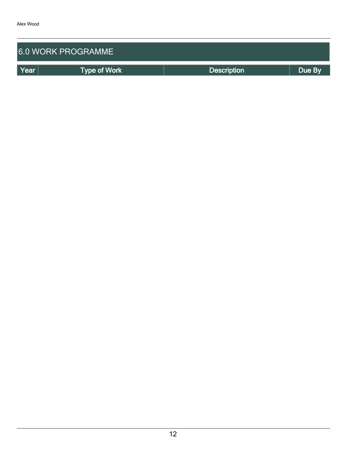| <b>6.0 WORK PROGRAMME</b> |                     |                    |        |  |  |  |  |  |  |
|---------------------------|---------------------|--------------------|--------|--|--|--|--|--|--|
| Year                      | <b>Type of Work</b> | <b>Description</b> | Due By |  |  |  |  |  |  |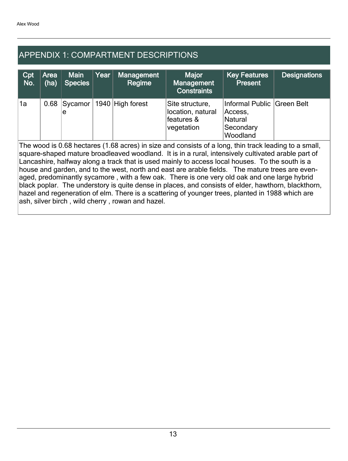# APPENDIX 1: COMPARTMENT DESCRIPTIONS

| Cpt<br>No.                                                                                                                                                                                                                                                                                                                                                                                                                                                                                                                                                                                                                                                                                                                                                                       | Area<br>(ha) | <b>Main</b><br><b>Species</b> | Year | <b>Management</b><br>Regime | <b>Major</b><br><b>Management</b><br><b>Constraints</b>          | <b>Key Features</b><br><b>Present</b>                                     | <b>Designations</b> |  |  |
|----------------------------------------------------------------------------------------------------------------------------------------------------------------------------------------------------------------------------------------------------------------------------------------------------------------------------------------------------------------------------------------------------------------------------------------------------------------------------------------------------------------------------------------------------------------------------------------------------------------------------------------------------------------------------------------------------------------------------------------------------------------------------------|--------------|-------------------------------|------|-----------------------------|------------------------------------------------------------------|---------------------------------------------------------------------------|---------------------|--|--|
| 1a                                                                                                                                                                                                                                                                                                                                                                                                                                                                                                                                                                                                                                                                                                                                                                               | 0.68         | Sycamor  <br>е                |      | 1940 High forest            | Site structure,<br>location, natural<br>features &<br>vegetation | Informal Public Green Belt<br>Access,<br>Natural<br>Secondary<br>Woodland |                     |  |  |
| The wood is 0.68 hectares (1.68 acres) in size and consists of a long, thin track leading to a small,<br>square-shaped mature broadleaved woodland. It is in a rural, intensively cultivated arable part of<br>Lancashire, halfway along a track that is used mainly to access local houses. To the south is a<br>house and garden, and to the west, north and east are arable fields. The mature trees are even-<br>aged, predominantly sycamore, with a few oak. There is one very old oak and one large hybrid<br>black poplar. The understory is quite dense in places, and consists of elder, hawthorn, blackthorn,<br>hazel and regeneration of elm. There is a scattering of younger trees, planted in 1988 which are<br>ash, silver birch, wild cherry, rowan and hazel. |              |                               |      |                             |                                                                  |                                                                           |                     |  |  |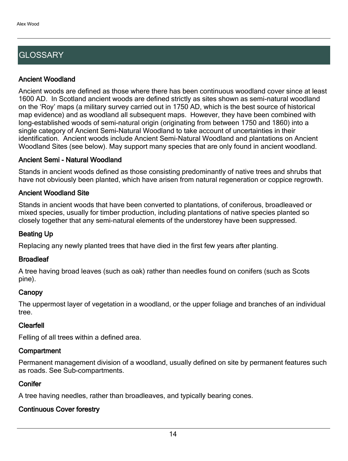# **GLOSSARY**

#### Ancient Woodland

Ancient woods are defined as those where there has been continuous woodland cover since at least 1600 AD. In Scotland ancient woods are defined strictly as sites shown as semi-natural woodland on the 'Roy' maps (a military survey carried out in 1750 AD, which is the best source of historical map evidence) and as woodland all subsequent maps. However, they have been combined with long-established woods of semi-natural origin (originating from between 1750 and 1860) into a single category of Ancient Semi-Natural Woodland to take account of uncertainties in their identification. Ancient woods include Ancient Semi-Natural Woodland and plantations on Ancient Woodland Sites (see below). May support many species that are only found in ancient woodland.

#### Ancient Semi - Natural Woodland

Stands in ancient woods defined as those consisting predominantly of native trees and shrubs that have not obviously been planted, which have arisen from natural regeneration or coppice regrowth.

#### Ancient Woodland Site

Stands in ancient woods that have been converted to plantations, of coniferous, broadleaved or mixed species, usually for timber production, including plantations of native species planted so closely together that any semi-natural elements of the understorey have been suppressed.

#### Beating Up

Replacing any newly planted trees that have died in the first few years after planting.

#### **Broadleaf**

A tree having broad leaves (such as oak) rather than needles found on conifers (such as Scots pine).

#### **Canopy**

The uppermost layer of vegetation in a woodland, or the upper foliage and branches of an individual tree.

#### Clearfell

Felling of all trees within a defined area.

#### **Compartment**

Permanent management division of a woodland, usually defined on site by permanent features such as roads. See Sub-compartments.

#### **Conifer**

A tree having needles, rather than broadleaves, and typically bearing cones.

### Continuous Cover forestry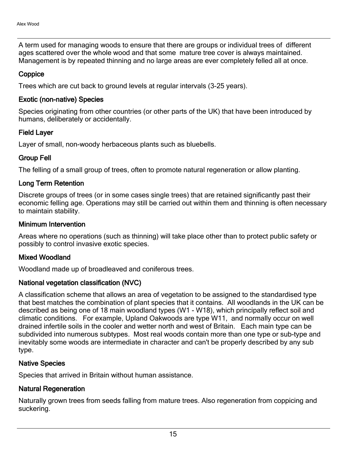A term used for managing woods to ensure that there are groups or individual trees of different ages scattered over the whole wood and that some mature tree cover is always maintained. Management is by repeated thinning and no large areas are ever completely felled all at once.

#### **Coppice**

Trees which are cut back to ground levels at regular intervals (3-25 years).

#### Exotic (non-native) Species

Species originating from other countries (or other parts of the UK) that have been introduced by humans, deliberately or accidentally.

#### Field Layer

Layer of small, non-woody herbaceous plants such as bluebells.

#### Group Fell

The felling of a small group of trees, often to promote natural regeneration or allow planting.

#### Long Term Retention

Discrete groups of trees (or in some cases single trees) that are retained significantly past their economic felling age. Operations may still be carried out within them and thinning is often necessary to maintain stability.

#### Minimum Intervention

Areas where no operations (such as thinning) will take place other than to protect public safety or possibly to control invasive exotic species.

#### Mixed Woodland

Woodland made up of broadleaved and coniferous trees.

#### National vegetation classification (NVC)

A classification scheme that allows an area of vegetation to be assigned to the standardised type that best matches the combination of plant species that it contains. All woodlands in the UK can be described as being one of 18 main woodland types (W1 - W18), which principally reflect soil and climatic conditions. For example, Upland Oakwoods are type W11, and normally occur on well drained infertile soils in the cooler and wetter north and west of Britain. Each main type can be subdivided into numerous subtypes. Most real woods contain more than one type or sub-type and inevitably some woods are intermediate in character and can't be properly described by any sub type.

#### Native Species

Species that arrived in Britain without human assistance.

#### Natural Regeneration

Naturally grown trees from seeds falling from mature trees. Also regeneration from coppicing and suckering.